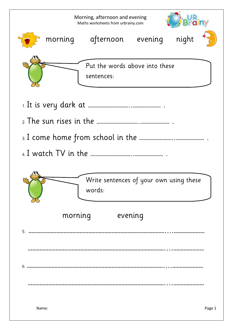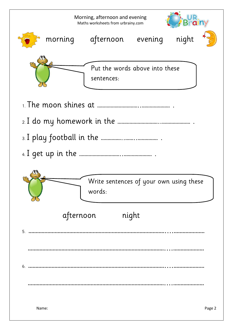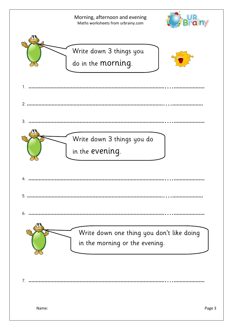